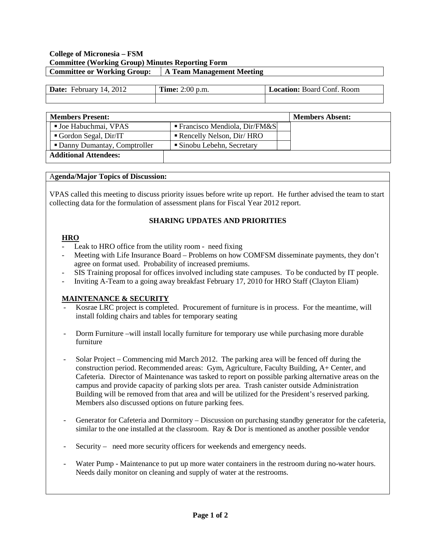### **College of Micronesia – FSM Committee (Working Group) Minutes Reporting Form Committee or Working Group: A Team Management Meeting**

| 2012<br>Date:<br>14<br>February | <b>Time:</b> $2:00$ p.m. | <b>Location:</b> Board Conf. Room |
|---------------------------------|--------------------------|-----------------------------------|
|                                 |                          |                                   |

| <b>Members Present:</b>       |                                             | <b>Members Absent:</b> |
|-------------------------------|---------------------------------------------|------------------------|
| <b>Joe Habuchmai, VPAS</b>    | $\blacksquare$ Francisco Mendiola, Dir/FM&S |                        |
| Gordon Segal, $Dir/IT$        | Rencelly Nelson, Dir/ HRO                   |                        |
| • Danny Dumantay, Comptroller | • Sinobu Lebehn, Secretary                  |                        |
| <b>Additional Attendees:</b>  |                                             |                        |

#### A**genda/Major Topics of Discussion:**

VPAS called this meeting to discuss priority issues before write up report. He further advised the team to start collecting data for the formulation of assessment plans for Fiscal Year 2012 report.

### **SHARING UPDATES AND PRIORITIES**

# **HRO**

- Leak to HRO office from the utility room need fixing
- Meeting with Life Insurance Board Problems on how COMFSM disseminate payments, they don't agree on format used. Probability of increased premiums.
- SIS Training proposal for offices involved including state campuses. To be conducted by IT people.
- Inviting A-Team to a going away breakfast February 17, 2010 for HRO Staff (Clayton Eliam)

### **MAINTENANCE & SECURITY**

- Kosrae LRC project is completed. Procurement of furniture is in process. For the meantime, will install folding chairs and tables for temporary seating
- Dorm Furniture –will install locally furniture for temporary use while purchasing more durable furniture
- Solar Project Commencing mid March 2012. The parking area will be fenced off during the construction period. Recommended areas: Gym, Agriculture, Faculty Building, A+ Center, and Cafeteria. Director of Maintenance was tasked to report on possible parking alternative areas on the campus and provide capacity of parking slots per area. Trash canister outside Administration Building will be removed from that area and will be utilized for the President's reserved parking. Members also discussed options on future parking fees.
- Generator for Cafeteria and Dormitory Discussion on purchasing standby generator for the cafeteria, similar to the one installed at the classroom. Ray  $&$  Dor is mentioned as another possible vendor
- Security need more security officers for weekends and emergency needs.
- Water Pump Maintenance to put up more water containers in the restroom during no-water hours. Needs daily monitor on cleaning and supply of water at the restrooms.